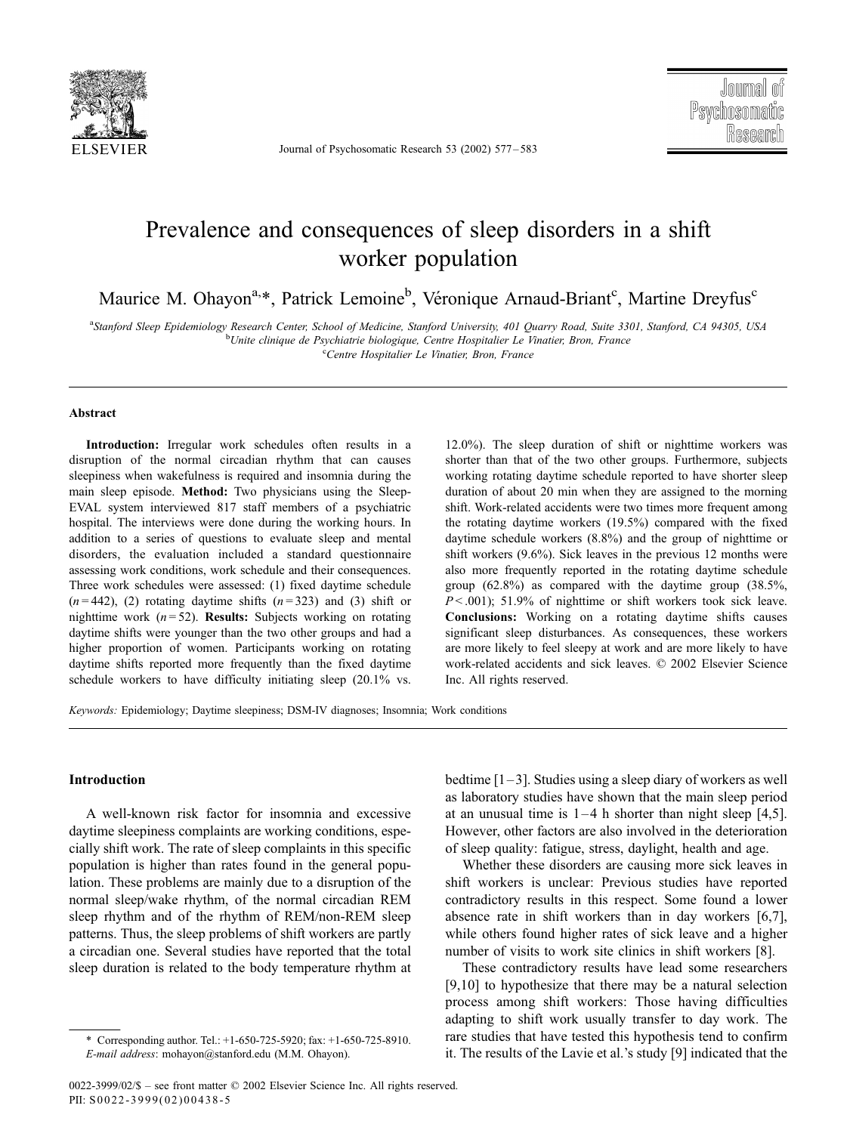

Journal of Psychosomatic Research 53 (2002) 577 – 583

## Prevalence and consequences of sleep disorders in a shift worker population

Maurice M. Ohayon<sup>a,\*</sup>, Patrick Lemoine<sup>b</sup>, Véronique Arnaud-Briant<sup>c</sup>, Martine Dreyfus<sup>c</sup>

a Stanford Sleep Epidemiology Research Center, School of Medicine, Stanford University, 401 Quarry Road, Suite 3301, Stanford, CA 94305, USA <sup>b</sup>Unite clinique de Psychiatrie biologique, Centre Hospitalier Le Vinatier, Bron, France<br>Contre Hospitalier Le Vinatier Prense

<sup>c</sup>Centre Hospitalier Le Vinatier, Bron, France

#### Abstract

Introduction: Irregular work schedules often results in a disruption of the normal circadian rhythm that can causes sleepiness when wakefulness is required and insomnia during the main sleep episode. Method: Two physicians using the Sleep-EVAL system interviewed 817 staff members of a psychiatric hospital. The interviews were done during the working hours. In addition to a series of questions to evaluate sleep and mental disorders, the evaluation included a standard questionnaire assessing work conditions, work schedule and their consequences. Three work schedules were assessed: (1) fixed daytime schedule  $(n=442)$ , (2) rotating daytime shifts  $(n=323)$  and (3) shift or nighttime work  $(n = 52)$ . Results: Subjects working on rotating daytime shifts were younger than the two other groups and had a higher proportion of women. Participants working on rotating daytime shifts reported more frequently than the fixed daytime schedule workers to have difficulty initiating sleep (20.1% vs.

12.0%). The sleep duration of shift or nighttime workers was shorter than that of the two other groups. Furthermore, subjects working rotating daytime schedule reported to have shorter sleep duration of about 20 min when they are assigned to the morning shift. Work-related accidents were two times more frequent among the rotating daytime workers (19.5%) compared with the fixed daytime schedule workers (8.8%) and the group of nighttime or shift workers (9.6%). Sick leaves in the previous 12 months were also more frequently reported in the rotating daytime schedule group (62.8%) as compared with the daytime group (38.5%,  $P < .001$ ); 51.9% of nighttime or shift workers took sick leave. Conclusions: Working on a rotating daytime shifts causes significant sleep disturbances. As consequences, these workers are more likely to feel sleepy at work and are more likely to have work-related accidents and sick leaves.  $© 2002$  Elsevier Science Inc. All rights reserved.

Keywords: Epidemiology; Daytime sleepiness; DSM-IV diagnoses; Insomnia; Work conditions

## Introduction

A well-known risk factor for insomnia and excessive daytime sleepiness complaints are working conditions, especially shift work. The rate of sleep complaints in this specific population is higher than rates found in the general population. These problems are mainly due to a disruption of the normal sleep/wake rhythm, of the normal circadian REM sleep rhythm and of the rhythm of REM/non-REM sleep patterns. Thus, the sleep problems of shift workers are partly a circadian one. Several studies have reported that the total sleep duration is related to the body temperature rhythm at bedtime  $[1-3]$ . Studies using a sleep diary of workers as well as laboratory studies have shown that the main sleep period at an unusual time is  $1-4$  h shorter than night sleep [4,5]. However, other factors are also involved in the deterioration of sleep quality: fatigue, stress, daylight, health and age.

Whether these disorders are causing more sick leaves in shift workers is unclear: Previous studies have reported contradictory results in this respect. Some found a lower absence rate in shift workers than in day workers [6,7], while others found higher rates of sick leave and a higher number of visits to work site clinics in shift workers [8].

These contradictory results have lead some researchers [9,10] to hypothesize that there may be a natural selection process among shift workers: Those having difficulties adapting to shift work usually transfer to day work. The rare studies that have tested this hypothesis tend to confirm it. The results of the Lavie et al.'s study [9] indicated that the

<sup>\*</sup> Corresponding author. Tel.: +1-650-725-5920; fax: +1-650-725-8910. E-mail address: mohayon@stanford.edu (M.M. Ohayon).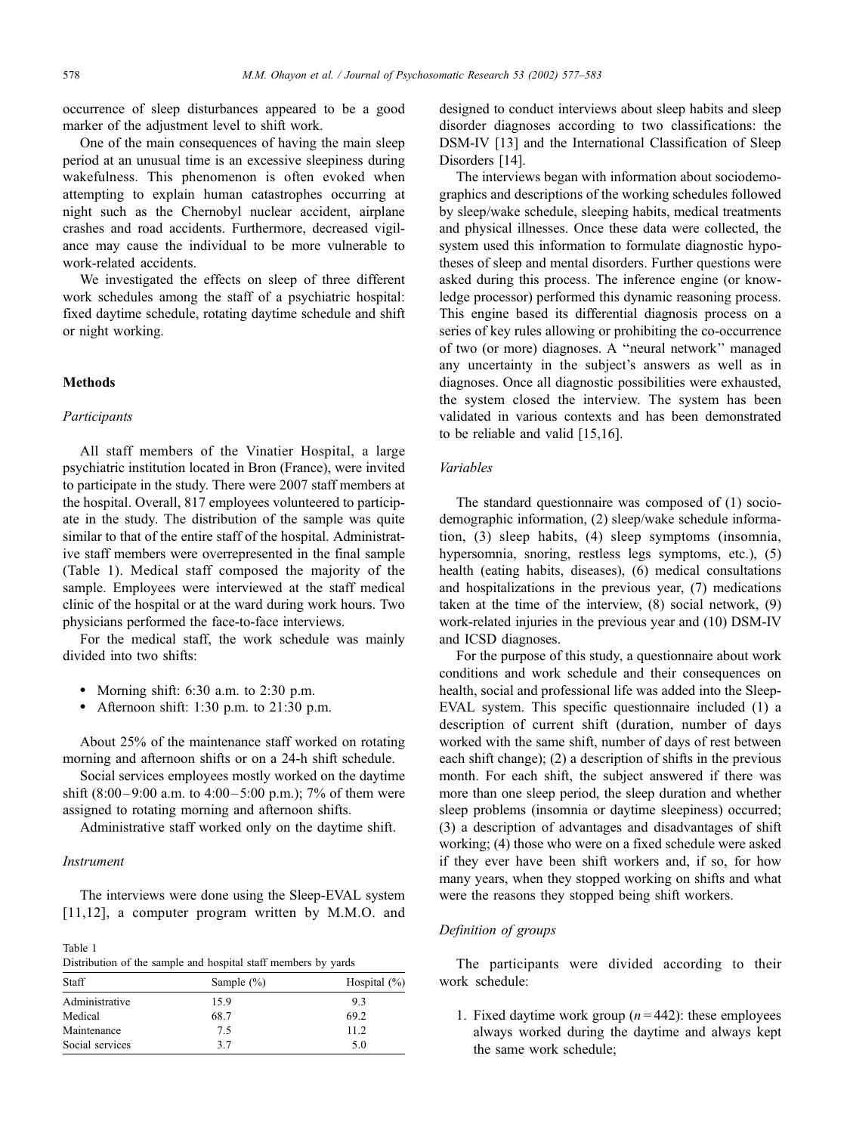occurrence of sleep disturbances appeared to be a good marker of the adjustment level to shift work.

One of the main consequences of having the main sleep period at an unusual time is an excessive sleepiness during wakefulness. This phenomenon is often evoked when attempting to explain human catastrophes occurring at night such as the Chernobyl nuclear accident, airplane crashes and road accidents. Furthermore, decreased vigilance may cause the individual to be more vulnerable to work-related accidents.

We investigated the effects on sleep of three different work schedules among the staff of a psychiatric hospital: fixed daytime schedule, rotating daytime schedule and shift or night working.

### **Methods**

#### Participants

All staff members of the Vinatier Hospital, a large psychiatric institution located in Bron (France), were invited to participate in the study. There were 2007 staff members at the hospital. Overall, 817 employees volunteered to participate in the study. The distribution of the sample was quite similar to that of the entire staff of the hospital. Administrative staff members were overrepresented in the final sample (Table 1). Medical staff composed the majority of the sample. Employees were interviewed at the staff medical clinic of the hospital or at the ward during work hours. Two physicians performed the face-to-face interviews.

For the medical staff, the work schedule was mainly divided into two shifts:

- Morning shift:  $6:30$  a.m. to  $2:30$  p.m.
- Afternoon shift: 1:30 p.m. to 21:30 p.m.

About 25% of the maintenance staff worked on rotating morning and afternoon shifts or on a 24-h shift schedule.

Social services employees mostly worked on the daytime shift  $(8:00-9:00$  a.m. to  $4:00-5:00$  p.m.); 7% of them were assigned to rotating morning and afternoon shifts.

Administrative staff worked only on the daytime shift.

#### Instrument

The interviews were done using the Sleep-EVAL system [11,12], a computer program written by M.M.O. and

Table 1 Distribution of the sample and hospital staff members by yards

| Staff           | Sample $(\% )$ | Hospital $(\%)$ |
|-----------------|----------------|-----------------|
| Administrative  | 15.9           | 9.3             |
| Medical         | 68.7           | 69.2            |
| Maintenance     | 75             | 11.2            |
| Social services | 37             | 5.0             |

designed to conduct interviews about sleep habits and sleep disorder diagnoses according to two classifications: the DSM-IV [13] and the International Classification of Sleep Disorders [14].

The interviews began with information about sociodemographics and descriptions of the working schedules followed by sleep/wake schedule, sleeping habits, medical treatments and physical illnesses. Once these data were collected, the system used this information to formulate diagnostic hypotheses of sleep and mental disorders. Further questions were asked during this process. The inference engine (or knowledge processor) performed this dynamic reasoning process. This engine based its differential diagnosis process on a series of key rules allowing or prohibiting the co-occurrence of two (or more) diagnoses. A ''neural network'' managed any uncertainty in the subject's answers as well as in diagnoses. Once all diagnostic possibilities were exhausted, the system closed the interview. The system has been validated in various contexts and has been demonstrated to be reliable and valid [15,16].

### Variables

The standard questionnaire was composed of (1) sociodemographic information, (2) sleep/wake schedule information, (3) sleep habits, (4) sleep symptoms (insomnia, hypersomnia, snoring, restless legs symptoms, etc.), (5) health (eating habits, diseases), (6) medical consultations and hospitalizations in the previous year, (7) medications taken at the time of the interview,  $(8)$  social network,  $(9)$ work-related injuries in the previous year and (10) DSM-IV and ICSD diagnoses.

For the purpose of this study, a questionnaire about work conditions and work schedule and their consequences on health, social and professional life was added into the Sleep-EVAL system. This specific questionnaire included (1) a description of current shift (duration, number of days worked with the same shift, number of days of rest between each shift change); (2) a description of shifts in the previous month. For each shift, the subject answered if there was more than one sleep period, the sleep duration and whether sleep problems (insomnia or daytime sleepiness) occurred; (3) a description of advantages and disadvantages of shift working; (4) those who were on a fixed schedule were asked if they ever have been shift workers and, if so, for how many years, when they stopped working on shifts and what were the reasons they stopped being shift workers.

## Definition of groups

The participants were divided according to their work schedule:

1. Fixed daytime work group  $(n = 442)$ : these employees always worked during the daytime and always kept the same work schedule;